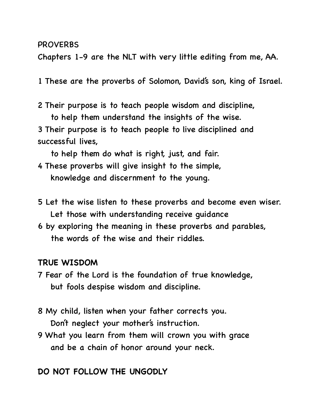#### PROVERBS

Chapters 1-9 are the NLT with very little editing from me, AA.

1 These are the proverbs of Solomon, David's son, king of Israel.

2 Their purpose is to teach people wisdom and discipline, to help them understand the insights of the wise.

3 Their purpose is to teach people to live disciplined and successful lives,

to help them do what is right, just, and fair.

- 4 These proverbs will give insight to the simple, knowledge and discernment to the young.
- 5 Let the wise listen to these proverbs and become even wiser. Let those with understanding receive guidance
- 6 by exploring the meaning in these proverbs and parables, the words of the wise and their riddles.

### **TRUE WISDOM**

- 7 Fear of the Lord is the foundation of true knowledge, but fools despise wisdom and discipline.
- 8 My child, listen when your father corrects you. Don't neglect your mother's instruction.
- 9 What you learn from them will crown you with grace and be a chain of honor around your neck.

# **DO NOT FOLLOW THE UNGODLY**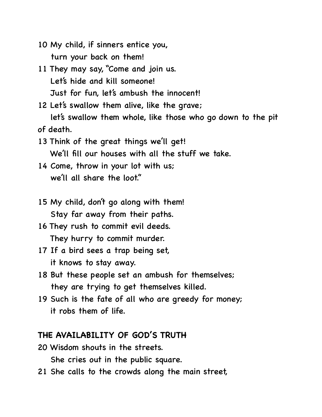- 10 My child, if sinners entice you, turn your back on them!
- 11 They may say, "Come and join us. Let's hide and kill someone! Just for fun, let's ambush the innocent!
- 12 Let's swallow them alive, like the grave; let's swallow them whole, like those who go down to the pit of death.
- 13 Think of the great things we'll get! We'll fill our houses with all the stuff we take.
- 14 Come, throw in your lot with us; we'll all share the loot."
- 15 My child, don't go along with them! Stay far away from their paths.
- 16 They rush to commit evil deeds. They hurry to commit murder.
- 17 If a bird sees a trap being set, it knows to stay away.
- 18 But these people set an ambush for themselves; they are trying to get themselves killed.
- 19 Such is the fate of all who are greedy for money; it robs them of life.

## **THE AVAILABILITY OF GOD'S TRUTH**

- 20 Wisdom shouts in the streets. She cries out in the public square.
- 21 She calls to the crowds along the main street,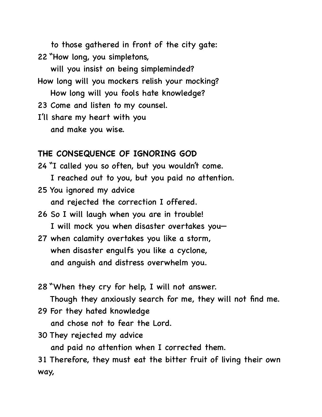to those gathered in front of the city gate: 22 "How long, you simpletons,

 will you insist on being simpleminded? How long will you mockers relish your mocking? How long will you fools hate knowledge?

23 Come and listen to my counsel.

I'll share my heart with you and make you wise.

# **THE CONSEQUENCE OF IGNORING GOD**

24 "I called you so often, but you wouldn't come. I reached out to you, but you paid no attention.

25 You ignored my advice and rejected the correction I offered.

- 26 So I will laugh when you are in trouble! I will mock you when disaster overtakes you—
- 27 when calamity overtakes you like a storm, when disaster engulfs you like a cyclone, and anguish and distress overwhelm you.
- 28 "When they cry for help, I will not answer. Though they anxiously search for me, they will not find me.
- 29 For they hated knowledge and chose not to fear the Lord.
- 30 They rejected my advice

and paid no attention when I corrected them.

31 Therefore, they must eat the bitter fruit of living their own way,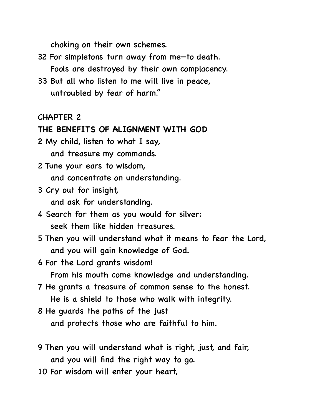choking on their own schemes.

- 32 For simpletons turn away from me—to death. Fools are destroyed by their own complacency.
- 33 But all who listen to me will live in peace, untroubled by fear of harm."

CHAPTER 2

#### **THE BENEFITS OF ALIGNMENT WITH GOD**

- 2 My child, listen to what I say, and treasure my commands.
- 2 Tune your ears to wisdom, and concentrate on understanding.
- 3 Cry out for insight, and ask for understanding.
- 4 Search for them as you would for silver; seek them like hidden treasures.
- 5 Then you will understand what it means to fear the Lord, and you will gain knowledge of God.
- 6 For the Lord grants wisdom!

From his mouth come knowledge and understanding.

- 7 He grants a treasure of common sense to the honest. He is a shield to those who walk with integrity.
- 8 He guards the paths of the just and protects those who are faithful to him.
- 9 Then you will understand what is right, just, and fair, and you will find the right way to go.
- 10 For wisdom will enter your heart,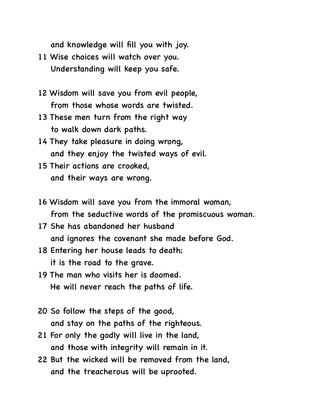and knowledge will fill you with joy.

- 11 Wise choices will watch over you. Understanding will keep you safe.
- 12 Wisdom will save you from evil people, from those whose words are twisted.
- 13 These men turn from the right way to walk down dark paths.
- 14 They take pleasure in doing wrong, and they enjoy the twisted ways of evil.
- 15 Their actions are crooked, and their ways are wrong.
- 16 Wisdom will save you from the immoral woman, from the seductive words of the promiscuous woman.
- 17 She has abandoned her husband and ignores the covenant she made before God.
- 18 Entering her house leads to death; it is the road to the grave.
- 19 The man who visits her is doomed. He will never reach the paths of life.
- 20 So follow the steps of the good, and stay on the paths of the righteous.
- 21 For only the godly will live in the land, and those with integrity will remain in it.
- 22 But the wicked will be removed from the land, and the treacherous will be uprooted.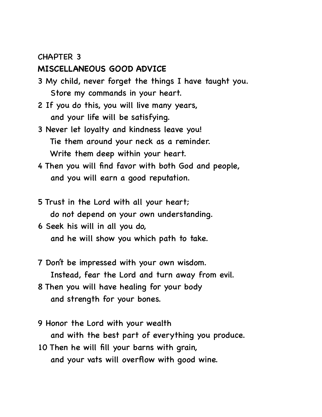## **MISCELLANEOUS GOOD ADVICE**

- 3 My child, never forget the things I have taught you. Store my commands in your heart.
- 2 If you do this, you will live many years, and your life will be satisfying.
- 3 Never let loyalty and kindness leave you! Tie them around your neck as a reminder. Write them deep within your heart.
- 4 Then you will find favor with both God and people, and you will earn a good reputation.
- 5 Trust in the Lord with all your heart; do not depend on your own understanding.
- 6 Seek his will in all you do, and he will show you which path to take.
- 7 Don't be impressed with your own wisdom. Instead, fear the Lord and turn away from evil.
- 8 Then you will have healing for your body and strength for your bones.
- 9 Honor the Lord with your wealth and with the best part of everything you produce.
- 10 Then he will fill your barns with grain, and your vats will overflow with good wine.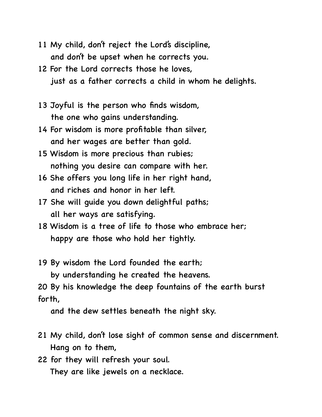- 11 My child, don't reject the Lord's discipline, and don't be upset when he corrects you.
- 12 For the Lord corrects those he loves, just as a father corrects a child in whom he delights.
- 13 Joyful is the person who finds wisdom, the one who gains understanding.
- 14 For wisdom is more profitable than silver, and her wages are better than gold.
- 15 Wisdom is more precious than rubies; nothing you desire can compare with her.
- 16 She offers you long life in her right hand, and riches and honor in her left.
- 17 She will guide you down delightful paths; all her ways are satisfying.
- 18 Wisdom is a tree of life to those who embrace her; happy are those who hold her tightly.
- 19 By wisdom the Lord founded the earth; by understanding he created the heavens.

20 By his knowledge the deep fountains of the earth burst forth,

and the dew settles beneath the night sky.

- 21 My child, don't lose sight of common sense and discernment. Hang on to them,
- 22 for they will refresh your soul. They are like jewels on a necklace.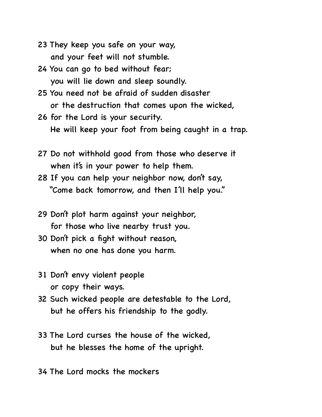- 23 They keep you safe on your way, and your feet will not stumble.
- 24 You can go to bed without fear; you will lie down and sleep soundly.
- 25 You need not be afraid of sudden disaster or the destruction that comes upon the wicked,
- 26 for the Lord is your security. He will keep your foot from being caught in a trap.
- 27 Do not withhold good from those who deserve it when it's in your power to help them.
- 28 If you can help your neighbor now, don't say, "Come back tomorrow, and then I'll help you."
- 29 Don't plot harm against your neighbor, for those who live nearby trust you.
- 30 Don't pick a fight without reason, when no one has done you harm.
- 31 Don't envy violent people or copy their ways.
- 32 Such wicked people are detestable to the Lord, but he offers his friendship to the godly.
- 33 The Lord curses the house of the wicked, but he blesses the home of the upright.

34 The Lord mocks the mockers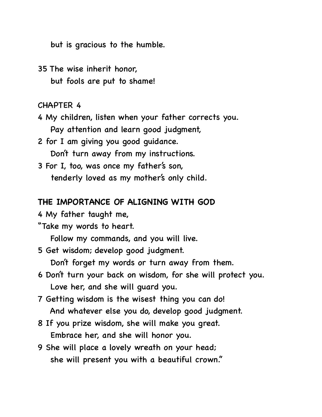but is gracious to the humble.

35 The wise inherit honor, but fools are put to shame!

CHAPTER 4

- 4 My children, listen when your father corrects you. Pay attention and learn good judgment,
- 2 for I am giving you good guidance. Don't turn away from my instructions.
- 3 For I, too, was once my father's son, tenderly loved as my mother's only child.

#### **THE IMPORTANCE OF ALIGNING WITH GOD**

4 My father taught me,

"Take my words to heart.

Follow my commands, and you will live.

5 Get wisdom; develop good judgment.

Don't forget my words or turn away from them.

- 6 Don't turn your back on wisdom, for she will protect you. Love her, and she will guard you.
- 7 Getting wisdom is the wisest thing you can do! And whatever else you do, develop good judgment.
- 8 If you prize wisdom, she will make you great. Embrace her, and she will honor you.
- 9 She will place a lovely wreath on your head; she will present you with a beautiful crown."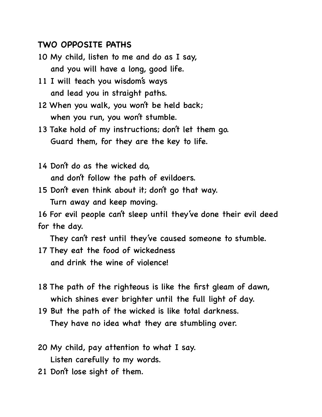# **TWO OPPOSITE PATHS**

- 10 My child, listen to me and do as I say, and you will have a long, good life.
- 11 I will teach you wisdom's ways and lead you in straight paths.
- 12 When you walk, you won't be held back; when you run, you won't stumble.
- 13 Take hold of my instructions; don't let them go. Guard them, for they are the key to life.
- 14 Don't do as the wicked do, and don't follow the path of evildoers.
- 15 Don't even think about it; don't go that way. Turn away and keep moving.

16 For evil people can't sleep until they've done their evil deed for the day.

They can't rest until they've caused someone to stumble.

- 17 They eat the food of wickedness and drink the wine of violence!
- 18 The path of the righteous is like the first gleam of dawn, which shines ever brighter until the full light of day.
- 19 But the path of the wicked is like total darkness. They have no idea what they are stumbling over.
- 20 My child, pay attention to what I say. Listen carefully to my words.
- 21 Don't lose sight of them.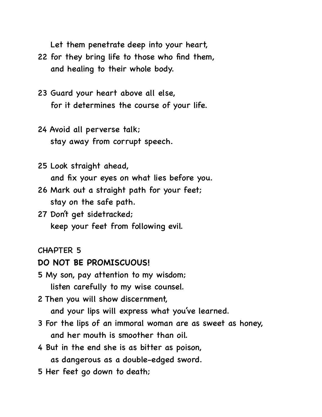Let them penetrate deep into your heart,

- 22 for they bring life to those who find them, and healing to their whole body.
- 23 Guard your heart above all else, for it determines the course of your life.
- 24 Avoid all perverse talk; stay away from corrupt speech.
- 25 Look straight ahead, and fix your eyes on what lies before you.
- 26 Mark out a straight path for your feet; stay on the safe path.
- 27 Don't get sidetracked; keep your feet from following evil.

#### CHAPTER 5

### **DO NOT BE PROMISCUOUS!**

- 5 My son, pay attention to my wisdom; listen carefully to my wise counsel.
- 2 Then you will show discernment,

and your lips will express what you've learned.

- 3 For the lips of an immoral woman are as sweet as honey, and her mouth is smoother than oil.
- 4 But in the end she is as bitter as poison, as dangerous as a double-edged sword.
- 5 Her feet go down to death;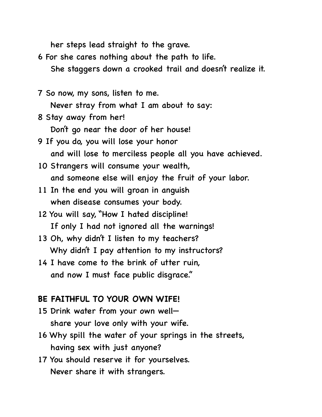her steps lead straight to the grave.

- 6 For she cares nothing about the path to life. She staggers down a crooked trail and doesn't realize it.
- 7 So now, my sons, listen to me. Never stray from what I am about to say:
- 8 Stay away from her! Don't go near the door of her house!
- 9 If you do, you will lose your honor and will lose to merciless people all you have achieved.
- 10 Strangers will consume your wealth, and someone else will enjoy the fruit of your labor.
- 11 In the end you will groan in anguish when disease consumes your body.
- 12 You will say, "How I hated discipline! If only I had not ignored all the warnings!
- 13 Oh, why didn't I listen to my teachers? Why didn't I pay attention to my instructors?
- 14 I have come to the brink of utter ruin, and now I must face public disgrace."

# **BE FAITHFUL TO YOUR OWN WIFE!**

- 15 Drink water from your own well share your love only with your wife.
- 16 Why spill the water of your springs in the streets, having sex with just anyone?
- 17 You should reserve it for yourselves. Never share it with strangers.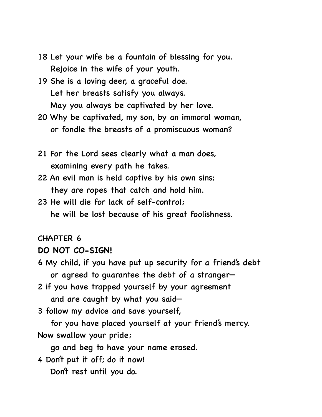- 18 Let your wife be a fountain of blessing for you. Rejoice in the wife of your youth.
- 19 She is a loving deer, a graceful doe. Let her breasts satisfy you always. May you always be captivated by her love.
- 20 Why be captivated, my son, by an immoral woman, or fondle the breasts of a promiscuous woman?
- 21 For the Lord sees clearly what a man does, examining every path he takes.
- 22 An evil man is held captive by his own sins; they are ropes that catch and hold him.
- 23 He will die for lack of self-control; he will be lost because of his great foolishness.

# **DO NOT CO-SIGN!**

- 6 My child, if you have put up security for a friend's debt or agreed to guarantee the debt of a stranger—
- 2 if you have trapped yourself by your agreement and are caught by what you said—
- 3 follow my advice and save yourself,
- for you have placed yourself at your friend's mercy. Now swallow your pride;
	- go and beg to have your name erased.
- 4 Don't put it off; do it now!
	- Don't rest until you do.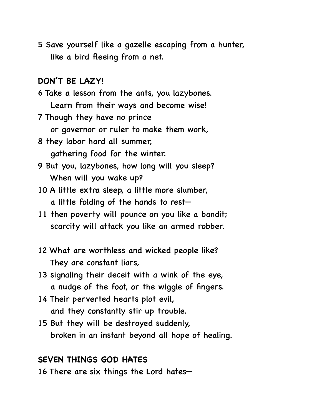5 Save yourself like a gazelle escaping from a hunter, like a bird fleeing from a net.

# **DON'T BE LAZY!**

- 6 Take a lesson from the ants, you lazybones. Learn from their ways and become wise!
- 7 Though they have no prince or governor or ruler to make them work,
- 8 they labor hard all summer, gathering food for the winter.
- 9 But you, lazybones, how long will you sleep? When will you wake up?
- 10 A little extra sleep, a little more slumber, a little folding of the hands to rest—
- 11 then poverty will pounce on you like a bandit; scarcity will attack you like an armed robber.
- 12 What are worthless and wicked people like? They are constant liars,
- 13 signaling their deceit with a wink of the eye, a nudge of the foot, or the wiggle of fingers.
- 14 Their perverted hearts plot evil, and they constantly stir up trouble.
- 15 But they will be destroyed suddenly, broken in an instant beyond all hope of healing.

# **SEVEN THINGS GOD HATES**

16 There are six things the Lord hates—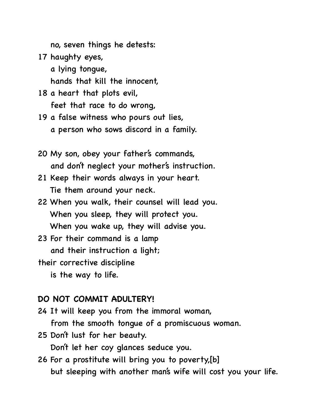no, seven things he detests:

- 17 haughty eyes, a lying tongue, hands that kill the innocent,
- 18 a heart that plots evil, feet that race to do wrong,
- 19 a false witness who pours out lies, a person who sows discord in a family.
- 20 My son, obey your father's commands, and don't neglect your mother's instruction.
- 21 Keep their words always in your heart. Tie them around your neck.
- 22 When you walk, their counsel will lead you. When you sleep, they will protect you. When you wake up, they will advise you.
- 23 For their command is a lamp and their instruction a light;
- their corrective discipline
	- is the way to life.

### **DO NOT COMMIT ADULTERY!**

- 24 It will keep you from the immoral woman, from the smooth tongue of a promiscuous woman.
- 25 Don't lust for her beauty. Don't let her coy glances seduce you.
- 26 For a prostitute will bring you to poverty,[b] but sleeping with another man's wife will cost you your life.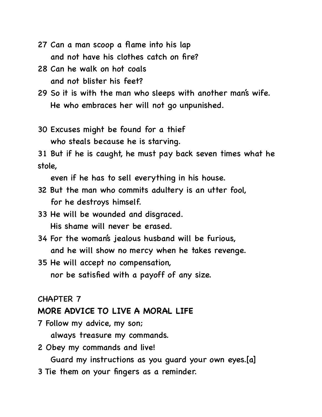- 27 Can a man scoop a flame into his lap and not have his clothes catch on fire?
- 28 Can he walk on hot coals and not blister his feet?
- 29 So it is with the man who sleeps with another man's wife. He who embraces her will not go unpunished.
- 30 Excuses might be found for a thief who steals because he is starving.

31 But if he is caught, he must pay back seven times what he stole,

even if he has to sell everything in his house.

- 32 But the man who commits adultery is an utter fool, for he destroys himself.
- 33 He will be wounded and disgraced. His shame will never be erased.
- 34 For the woman's jealous husband will be furious, and he will show no mercy when he takes revenge.
- 35 He will accept no compensation, nor be satisfied with a payoff of any size.

#### CHAPTER 7

### **MORE ADVICE TO LIVE A MORAL LIFE**

- 7 Follow my advice, my son; always treasure my commands.
- 2 Obey my commands and live!

Guard my instructions as you guard your own eyes.[a]

3 Tie them on your fingers as a reminder.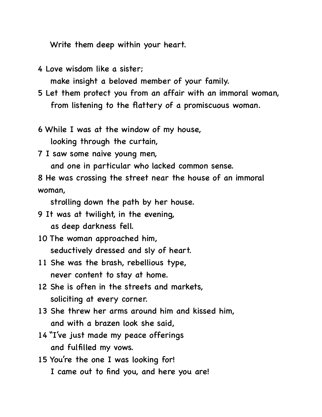Write them deep within your heart.

4 Love wisdom like a sister;

make insight a beloved member of your family.

- 5 Let them protect you from an affair with an immoral woman, from listening to the flattery of a promiscuous woman.
- 6 While I was at the window of my house, looking through the curtain,
- 7 I saw some naive young men,

and one in particular who lacked common sense.

8 He was crossing the street near the house of an immoral woman,

strolling down the path by her house.

- 9 It was at twilight, in the evening, as deep darkness fell.
- 10 The woman approached him, seductively dressed and sly of heart.
- 11 She was the brash, rebellious type, never content to stay at home.
- 12 She is often in the streets and markets, soliciting at every corner.
- 13 She threw her arms around him and kissed him, and with a brazen look she said,
- 14 "I've just made my peace offerings and fulfilled my vows.
- 15 You're the one I was looking for! I came out to find you, and here you are!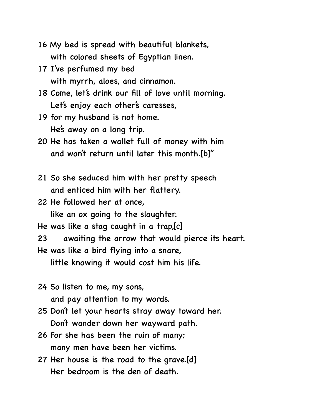- 16 My bed is spread with beautiful blankets, with colored sheets of Egyptian linen.
- 17 I've perfumed my bed with myrrh, aloes, and cinnamon.
- 18 Come, let's drink our fill of love until morning. Let's enjoy each other's caresses,
- 19 for my husband is not home. He's away on a long trip.
- 20 He has taken a wallet full of money with him and won't return until later this month.[b]"
- 21 So she seduced him with her pretty speech and enticed him with her flattery.
- 22 He followed her at once, like an ox going to the slaughter.
- He was like a stag caught in a trap,[c]
- 23 awaiting the arrow that would pierce its heart.
- He was like a bird flying into a snare, little knowing it would cost him his life.
- 24 So listen to me, my sons, and pay attention to my words.
- 25 Don't let your hearts stray away toward her. Don't wander down her wayward path.
- 26 For she has been the ruin of many; many men have been her victims.
- 27 Her house is the road to the grave.[d] Her bedroom is the den of death.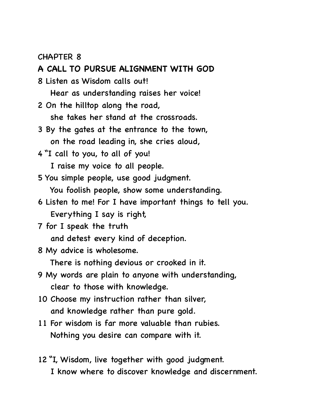#### **A CALL TO PURSUE ALIGNMENT WITH GOD**

8 Listen as Wisdom calls out!

Hear as understanding raises her voice!

2 On the hilltop along the road,

she takes her stand at the crossroads.

- 3 By the gates at the entrance to the town, on the road leading in, she cries aloud,
- 4 "I call to you, to all of you!

I raise my voice to all people.

5 You simple people, use good judgment.

You foolish people, show some understanding.

- 6 Listen to me! For I have important things to tell you. Everything I say is right,
- 7 for I speak the truth

and detest every kind of deception.

8 My advice is wholesome.

There is nothing devious or crooked in it.

- 9 My words are plain to anyone with understanding, clear to those with knowledge.
- 10 Choose my instruction rather than silver, and knowledge rather than pure gold.
- 11 For wisdom is far more valuable than rubies. Nothing you desire can compare with it.
- 12 "I, Wisdom, live together with good judgment. I know where to discover knowledge and discernment.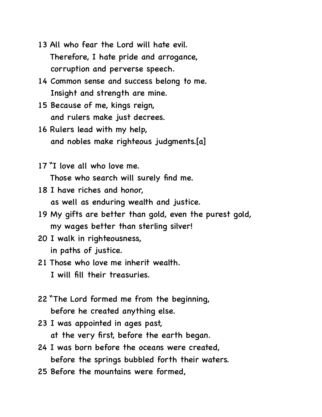- 13 All who fear the Lord will hate evil. Therefore, I hate pride and arrogance, corruption and perverse speech.
- 14 Common sense and success belong to me. Insight and strength are mine.
- 15 Because of me, kings reign, and rulers make just decrees.
- 16 Rulers lead with my help, and nobles make righteous judgments.[a]
- 17 "I love all who love me. Those who search will surely find me.
- 18 I have riches and honor, as well as enduring wealth and justice.
- 19 My gifts are better than gold, even the purest gold, my wages better than sterling silver!
- 20 I walk in righteousness, in paths of justice.
- 21 Those who love me inherit wealth. I will fill their treasuries.
- 22 "The Lord formed me from the beginning, before he created anything else.
- 23 I was appointed in ages past, at the very first, before the earth began.
- 24 I was born before the oceans were created, before the springs bubbled forth their waters.
- 25 Before the mountains were formed,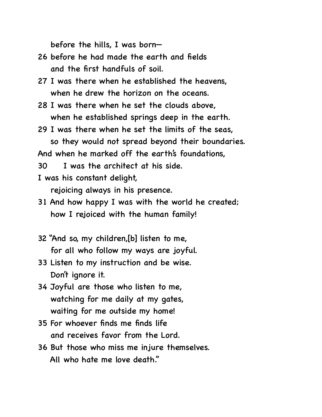before the hills, I was born—

- 26 before he had made the earth and fields and the first handfuls of soil.
- 27 I was there when he established the heavens, when he drew the horizon on the oceans.
- 28 I was there when he set the clouds above, when he established springs deep in the earth.
- 29 I was there when he set the limits of the seas, so they would not spread beyond their boundaries.

And when he marked off the earth's foundations,

30 I was the architect at his side.

I was his constant delight,

rejoicing always in his presence.

- 31 And how happy I was with the world he created; how I rejoiced with the human family!
- 32 "And so, my children,[b] listen to me, for all who follow my ways are joyful.
- 33 Listen to my instruction and be wise. Don't ignore it.
- 34 Joyful are those who listen to me, watching for me daily at my gates, waiting for me outside my home!
- 35 For whoever finds me finds life and receives favor from the Lord.
- 36 But those who miss me injure themselves. All who hate me love death."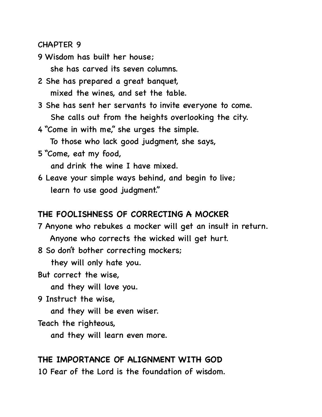9 Wisdom has built her house; she has carved its seven columns.

- 2 She has prepared a great banquet, mixed the wines, and set the table.
- 3 She has sent her servants to invite everyone to come. She calls out from the heights overlooking the city.
- 4 "Come in with me," she urges the simple.

To those who lack good judgment, she says,

5 "Come, eat my food,

and drink the wine I have mixed.

6 Leave your simple ways behind, and begin to live; learn to use good judgment."

#### **THE FOOLISHNESS OF CORRECTING A MOCKER**

7 Anyone who rebukes a mocker will get an insult in return. Anyone who corrects the wicked will get hurt.

8 So don't bother correcting mockers;

they will only hate you.

But correct the wise,

and they will love you.

9 Instruct the wise,

and they will be even wiser.

Teach the righteous,

and they will learn even more.

### **THE IMPORTANCE OF ALIGNMENT WITH GOD**

10 Fear of the Lord is the foundation of wisdom.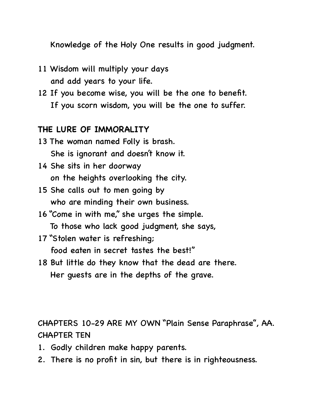Knowledge of the Holy One results in good judgment.

- 11 Wisdom will multiply your days and add years to your life.
- 12 If you become wise, you will be the one to benefit. If you scorn wisdom, you will be the one to suffer.

## **THE LURE OF IMMORALITY**

- 13 The woman named Folly is brash. She is ignorant and doesn't know it.
- 14 She sits in her doorway on the heights overlooking the city.
- 15 She calls out to men going by who are minding their own business.
- 16 "Come in with me," she urges the simple. To those who lack good judgment, she says,
- 17 "Stolen water is refreshing; food eaten in secret tastes the best!"
- 18 But little do they know that the dead are there. Her guests are in the depths of the grave.

CHAPTERS 10-29 ARE MY OWN "Plain Sense Paraphrase", AA. CHAPTER TEN

- 1. Godly children make happy parents.
- 2. There is no profit in sin, but there is in righteousness.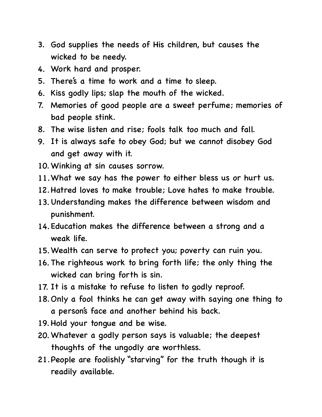- 3. God supplies the needs of His children, but causes the wicked to be needy.
- 4. Work hard and prosper.
- 5. There's a time to work and a time to sleep.
- 6. Kiss godly lips; slap the mouth of the wicked.
- 7. Memories of good people are a sweet perfume; memories of bad people stink.
- 8. The wise listen and rise; fools talk too much and fall.
- 9. It is always safe to obey God; but we cannot disobey God and get away with it.
- 10.Winking at sin causes sorrow.
- 11.What we say has the power to either bless us or hurt us.
- 12.Hatred loves to make trouble; Love hates to make trouble.
- 13. Understanding makes the difference between wisdom and punishment.
- 14.Education makes the difference between a strong and a weak life.
- 15.Wealth can serve to protect you; poverty can ruin you.
- 16. The righteous work to bring forth life; the only thing the wicked can bring forth is sin.
- 17. It is a mistake to refuse to listen to godly reproof.
- 18.Only a fool thinks he can get away with saying one thing to a person's face and another behind his back.
- 19. Hold your tongue and be wise.
- 20.Whatever a godly person says is valuable; the deepest thoughts of the ungodly are worthless.
- 21.People are foolishly "starving" for the truth though it is readily available.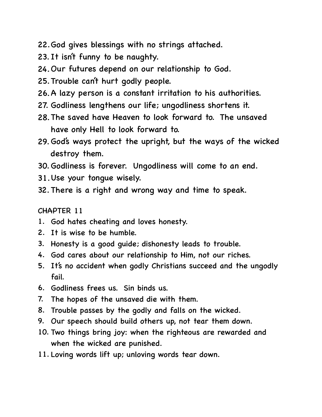- 22.God gives blessings with no strings attached.
- 23. It isn't funny to be naughty.
- 24. Our futures depend on our relationship to God.
- 25.Trouble can't hurt godly people.
- 26.A lazy person is a constant irritation to his authorities.
- 27. Godliness lengthens our life; ungodliness shortens it.
- 28.The saved have Heaven to look forward to. The unsaved have only Hell to look forward to.
- 29. God's ways protect the upright, but the ways of the wicked destroy them.
- 30.Godliness is forever. Ungodliness will come to an end.
- 31.Use your tongue wisely.
- 32. There is a right and wrong way and time to speak.

- 1. God hates cheating and loves honesty.
- 2. It is wise to be humble.
- 3. Honesty is a good guide; dishonesty leads to trouble.
- 4. God cares about our relationship to Him, not our riches.
- 5. It's no accident when godly Christians succeed and the ungodly fail.
- 6. Godliness frees us. Sin binds us.
- 7. The hopes of the unsaved die with them.
- 8. Trouble passes by the godly and falls on the wicked.
- 9. Our speech should build others up, not tear them down.
- 10. Two things bring joy: when the righteous are rewarded and when the wicked are punished.
- 11. Loving words lift up; unloving words tear down.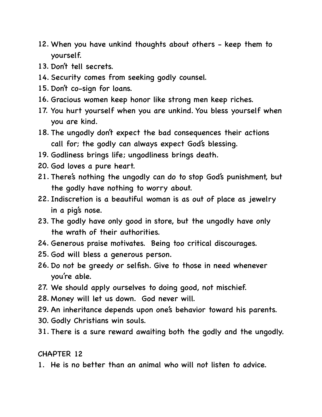- 12. When you have unkind thoughts about others keep them to yourself.
- 13. Don't tell secrets.
- 14. Security comes from seeking godly counsel.
- 15. Don't co-sign for loans.
- 16. Gracious women keep honor like strong men keep riches.
- 17. You hurt yourself when you are unkind. You bless yourself when you are kind.
- 18. The ungodly don't expect the bad consequences their actions call for; the godly can always expect God's blessing.
- 19. Godliness brings life; ungodliness brings death.
- 20. God loves a pure heart.
- 21. There's nothing the ungodly can do to stop God's punishment, but the godly have nothing to worry about.
- 22. Indiscretion is a beautiful woman is as out of place as jewelry in a pig's nose.
- 23. The godly have only good in store, but the ungodly have only the wrath of their authorities.
- 24. Generous praise motivates. Being too critical discourages.
- 25. God will bless a generous person.
- 26. Do not be greedy or selfish. Give to those in need whenever you're able.
- 27. We should apply ourselves to doing good, not mischief.
- 28. Money will let us down. God never will.
- 29. An inheritance depends upon one's behavior toward his parents.
- 30. Godly Christians win souls.
- 31. There is a sure reward awaiting both the godly and the ungodly.

1. He is no better than an animal who will not listen to advice.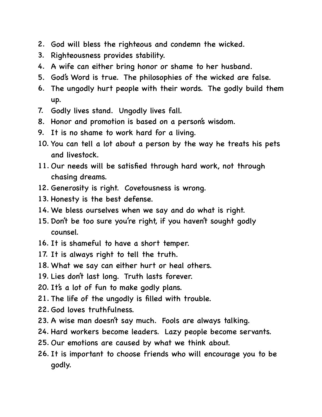- 2. God will bless the righteous and condemn the wicked.
- 3. Righteousness provides stability.
- 4. A wife can either bring honor or shame to her husband.
- 5. God's Word is true. The philosophies of the wicked are false.
- 6. The ungodly hurt people with their words. The godly build them up.
- 7. Godly lives stand. Ungodly lives fall.
- 8. Honor and promotion is based on a person's wisdom.
- 9. It is no shame to work hard for a living.
- 10. You can tell a lot about a person by the way he treats his pets and livestock.
- 11. Our needs will be satisfied through hard work, not through chasing dreams.
- 12. Generosity is right. Covetousness is wrong.
- 13. Honesty is the best defense.
- 14. We bless ourselves when we say and do what is right.
- 15. Don't be too sure you're right, if you haven't sought godly counsel.
- 16. It is shameful to have a short temper.
- 17. It is always right to tell the truth.
- 18. What we say can either hurt or heal others.
- 19. Lies don't last long. Truth lasts forever.
- 20. It's a lot of fun to make godly plans.
- 21. The life of the ungodly is filled with trouble.
- 22. God loves truthfulness.
- 23. A wise man doesn't say much. Fools are always talking.
- 24. Hard workers become leaders. Lazy people become servants.
- 25. Our emotions are caused by what we think about.
- 26. It is important to choose friends who will encourage you to be godly.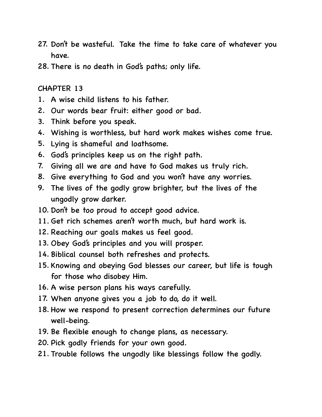- 27. Don't be wasteful. Take the time to take care of whatever you have.
- 28. There is no death in God's paths; only life.

- 1. A wise child listens to his father.
- 2. Our words bear fruit: either good or bad.
- 3. Think before you speak.
- 4. Wishing is worthless, but hard work makes wishes come true.
- 5. Lying is shameful and loathsome.
- 6. God's principles keep us on the right path.
- 7. Giving all we are and have to God makes us truly rich.
- 8. Give everything to God and you won't have any worries.
- 9. The lives of the godly grow brighter, but the lives of the ungodly grow darker.
- 10. Don't be too proud to accept good advice.
- 11. Get rich schemes aren't worth much, but hard work is.
- 12. Reaching our goals makes us feel good.
- 13. Obey God's principles and you will prosper.
- 14. Biblical counsel both refreshes and protects.
- 15. Knowing and obeying God blesses our career, but life is tough for those who disobey Him.
- 16. A wise person plans his ways carefully.
- 17. When anyone gives you a job to do, do it well.
- 18. How we respond to present correction determines our future well-being.
- 19. Be flexible enough to change plans, as necessary.
- 20. Pick godly friends for your own good.
- 21. Trouble follows the ungodly like blessings follow the godly.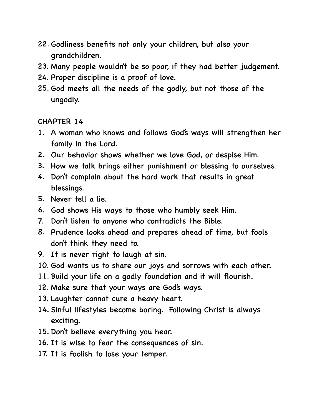- 22. Godliness benefits not only your children, but also your grandchildren.
- 23. Many people wouldn't be so poor, if they had better judgement.
- 24. Proper discipline is a proof of love.
- 25. God meets all the needs of the godly, but not those of the ungodly.

- 1. A woman who knows and follows God's ways will strengthen her family in the Lord.
- 2. Our behavior shows whether we love God, or despise Him.
- 3. How we talk brings either punishment or blessing to ourselves.
- 4. Don't complain about the hard work that results in great blessings.
- 5. Never tell a lie.
- 6. God shows His ways to those who humbly seek Him.
- 7. Don't listen to anyone who contradicts the Bible.
- 8. Prudence looks ahead and prepares ahead of time, but fools don't think they need to.
- 9. It is never right to laugh at sin.
- 10. God wants us to share our joys and sorrows with each other.
- 11. Build your life on a godly foundation and it will flourish.
- 12. Make sure that your ways are God's ways.
- 13. Laughter cannot cure a heavy heart.
- 14. Sinful lifestyles become boring. Following Christ is always exciting.
- 15. Don't believe everything you hear.
- 16. It is wise to fear the consequences of sin.
- 17. It is foolish to lose your temper.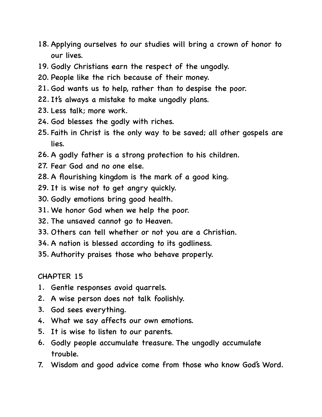- 18. Applying ourselves to our studies will bring a crown of honor to our lives.
- 19. Godly Christians earn the respect of the ungodly.
- 20. People like the rich because of their money.
- 21. God wants us to help, rather than to despise the poor.
- 22. It's always a mistake to make ungodly plans.
- 23. Less talk; more work.
- 24. God blesses the godly with riches.
- 25. Faith in Christ is the only way to be saved; all other gospels are lies.
- 26. A godly father is a strong protection to his children.
- 27. Fear God and no one else.
- 28. A flourishing kingdom is the mark of a good king.
- 29. It is wise not to get angry quickly.
- 30. Godly emotions bring good health.
- 31. We honor God when we help the poor.
- 32. The unsaved cannot go to Heaven.
- 33. Others can tell whether or not you are a Christian.
- 34. A nation is blessed according to its godliness.
- 35. Authority praises those who behave properly.

- 1. Gentle responses avoid quarrels.
- 2. A wise person does not talk foolishly.
- 3. God sees everything.
- 4. What we say affects our own emotions.
- 5. It is wise to listen to our parents.
- 6. Godly people accumulate treasure. The ungodly accumulate trouble.
- 7. Wisdom and good advice come from those who know God's Word.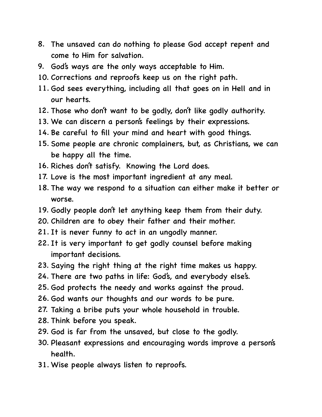- 8. The unsaved can do nothing to please God accept repent and come to Him for salvation.
- 9. God's ways are the only ways acceptable to Him.
- 10. Corrections and reproofs keep us on the right path.
- 11. God sees everything, including all that goes on in Hell and in our hearts.
- 12. Those who don't want to be godly, don't like godly authority.
- 13. We can discern a person's feelings by their expressions.
- 14. Be careful to fill your mind and heart with good things.
- 15. Some people are chronic complainers, but, as Christians, we can be happy all the time.
- 16. Riches don't satisfy. Knowing the Lord does.
- 17. Love is the most important ingredient at any meal.
- 18. The way we respond to a situation can either make it better or worse.
- 19. Godly people don't let anything keep them from their duty.
- 20. Children are to obey their father and their mother.
- 21. It is never funny to act in an ungodly manner.
- 22. It is very important to get godly counsel before making important decisions.
- 23. Saying the right thing at the right time makes us happy.
- 24. There are two paths in life: God's, and everybody else's.
- 25. God protects the needy and works against the proud.
- 26. God wants our thoughts and our words to be pure.
- 27. Taking a bribe puts your whole household in trouble.
- 28. Think before you speak.
- 29. God is far from the unsaved, but close to the godly.
- 30. Pleasant expressions and encouraging words improve a person's health.
- 31. Wise people always listen to reproofs.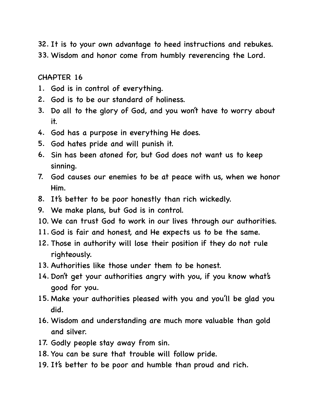32. It is to your own advantage to heed instructions and rebukes. 33. Wisdom and honor come from humbly reverencing the Lord.

- 1. God is in control of everything.
- 2. God is to be our standard of holiness.
- 3. Do all to the glory of God, and you won't have to worry about it.
- 4. God has a purpose in everything He does.
- 5. God hates pride and will punish it.
- 6. Sin has been atoned for, but God does not want us to keep sinning.
- 7. God causes our enemies to be at peace with us, when we honor Him.
- 8. It's better to be poor honestly than rich wickedly.
- 9. We make plans, but God is in control.
- 10. We can trust God to work in our lives through our authorities.
- 11. God is fair and honest, and He expects us to be the same.
- 12. Those in authority will lose their position if they do not rule righteously.
- 13. Authorities like those under them to be honest.
- 14. Don't get your authorities angry with you, if you know what's good for you.
- 15. Make your authorities pleased with you and you'll be glad you did.
- 16. Wisdom and understanding are much more valuable than gold and silver.
- 17. Godly people stay away from sin.
- 18. You can be sure that trouble will follow pride.
- 19. It's better to be poor and humble than proud and rich.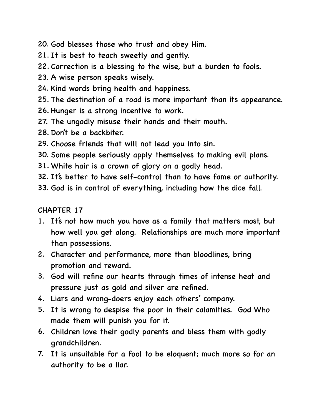- 20. God blesses those who trust and obey Him.
- 21. It is best to teach sweetly and gently.
- 22. Correction is a blessing to the wise, but a burden to fools.
- 23. A wise person speaks wisely.
- 24. Kind words bring health and happiness.
- 25. The destination of a road is more important than its appearance.
- 26. Hunger is a strong incentive to work.
- 27. The ungodly misuse their hands and their mouth.
- 28. Don't be a backbiter.
- 29. Choose friends that will not lead you into sin.
- 30. Some people seriously apply themselves to making evil plans.
- 31. White hair is a crown of glory on a godly head.
- 32. It's better to have self-control than to have fame or authority.
- 33. God is in control of everything, including how the dice fall.

- 1. It's not how much you have as a family that matters most, but how well you get along. Relationships are much more important than possessions.
- 2. Character and performance, more than bloodlines, bring promotion and reward.
- 3. God will refine our hearts through times of intense heat and pressure just as gold and silver are refined.
- 4. Liars and wrong-doers enjoy each others' company.
- 5. It is wrong to despise the poor in their calamities. God Who made them will punish you for it.
- 6. Children love their godly parents and bless them with godly grandchildren.
- 7. It is unsuitable for a fool to be eloquent; much more so for an authority to be a liar.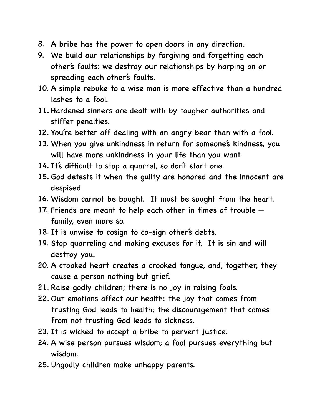- 8. A bribe has the power to open doors in any direction.
- 9. We build our relationships by forgiving and forgetting each other's faults; we destroy our relationships by harping on or spreading each other's faults.
- 10. A simple rebuke to a wise man is more effective than a hundred lashes to a fool.
- 11. Hardened sinners are dealt with by tougher authorities and stiffer penalties.
- 12. You're better off dealing with an angry bear than with a fool.
- 13. When you give unkindness in return for someone's kindness, you will have more unkindness in your life than you want.
- 14. It's difficult to stop a quarrel, so don't start one.
- 15. God detests it when the guilty are honored and the innocent are despised.
- 16. Wisdom cannot be bought. It must be sought from the heart.
- 17. Friends are meant to help each other in times of trouble family, even more so.
- 18. It is unwise to cosign to co-sign other's debts.
- 19. Stop quarreling and making excuses for it. It is sin and will destroy you.
- 20. A crooked heart creates a crooked tongue, and, together, they cause a person nothing but grief.
- 21. Raise godly children; there is no joy in raising fools.
- 22. Our emotions affect our health: the joy that comes from trusting God leads to health; the discouragement that comes from not trusting God leads to sickness.
- 23. It is wicked to accept a bribe to pervert justice.
- 24. A wise person pursues wisdom; a fool pursues everything but wisdom.
- 25. Ungodly children make unhappy parents.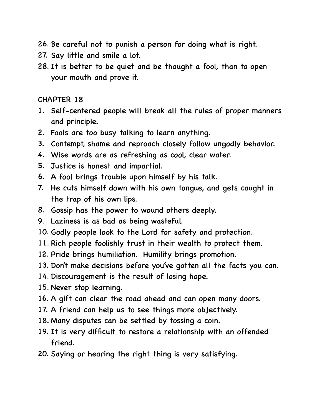26. Be careful not to punish a person for doing what is right.

- 27. Say little and smile a lot.
- 28. It is better to be quiet and be thought a fool, than to open your mouth and prove it.

- 1. Self-centered people will break all the rules of proper manners and principle.
- 2. Fools are too busy talking to learn anything.
- 3. Contempt, shame and reproach closely follow ungodly behavior.
- 4. Wise words are as refreshing as cool, clear water.
- 5. Justice is honest and impartial.
- 6. A fool brings trouble upon himself by his talk.
- 7. He cuts himself down with his own tongue, and gets caught in the trap of his own lips.
- 8. Gossip has the power to wound others deeply.
- 9. Laziness is as bad as being wasteful.
- 10. Godly people look to the Lord for safety and protection.
- 11. Rich people foolishly trust in their wealth to protect them.
- 12. Pride brings humiliation. Humility brings promotion.
- 13. Don't make decisions before you've gotten all the facts you can.
- 14. Discouragement is the result of losing hope.
- 15. Never stop learning.
- 16. A gift can clear the road ahead and can open many doors.
- 17. A friend can help us to see things more objectively.
- 18. Many disputes can be settled by tossing a coin.
- 19. It is very difficult to restore a relationship with an offended friend.
- 20. Saying or hearing the right thing is very satisfying.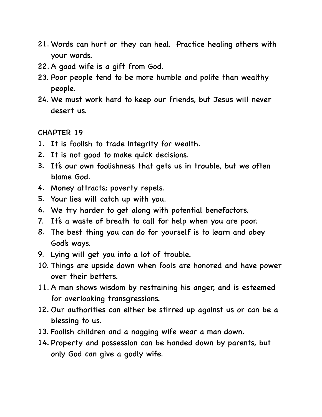- 21. Words can hurt or they can heal. Practice healing others with your words.
- 22. A good wife is a gift from God.
- 23. Poor people tend to be more humble and polite than wealthy people.
- 24. We must work hard to keep our friends, but Jesus will never desert us.

- 1. It is foolish to trade integrity for wealth.
- 2. It is not good to make quick decisions.
- 3. It's our own foolishness that gets us in trouble, but we often blame God.
- 4. Money attracts; poverty repels.
- 5. Your lies will catch up with you.
- 6. We try harder to get along with potential benefactors.
- 7. It's a waste of breath to call for help when you are poor.
- 8. The best thing you can do for yourself is to learn and obey God's ways.
- 9. Lying will get you into a lot of trouble.
- 10. Things are upside down when fools are honored and have power over their betters.
- 11. A man shows wisdom by restraining his anger, and is esteemed for overlooking transgressions.
- 12. Our authorities can either be stirred up against us or can be a blessing to us.
- 13. Foolish children and a nagging wife wear a man down.
- 14. Property and possession can be handed down by parents, but only God can give a godly wife.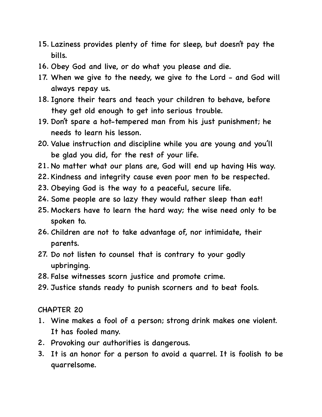- 15. Laziness provides plenty of time for sleep, but doesn't pay the bills.
- 16. Obey God and live, or do what you please and die.
- 17. When we give to the needy, we give to the Lord and God will always repay us.
- 18. Ignore their tears and teach your children to behave, before they get old enough to get into serious trouble.
- 19. Don't spare a hot-tempered man from his just punishment; he needs to learn his lesson.
- 20. Value instruction and discipline while you are young and you'll be glad you did, for the rest of your life.
- 21. No matter what our plans are, God will end up having His way.
- 22. Kindness and integrity cause even poor men to be respected.
- 23. Obeying God is the way to a peaceful, secure life.
- 24. Some people are so lazy they would rather sleep than eat!
- 25. Mockers have to learn the hard way; the wise need only to be spoken to.
- 26. Children are not to take advantage of, nor intimidate, their parents.
- 27. Do not listen to counsel that is contrary to your godly upbringing.
- 28. False witnesses scorn justice and promote crime.
- 29. Justice stands ready to punish scorners and to beat fools.

- 1. Wine makes a fool of a person; strong drink makes one violent. It has fooled many.
- 2. Provoking our authorities is dangerous.
- 3. It is an honor for a person to avoid a quarrel. It is foolish to be quarrelsome.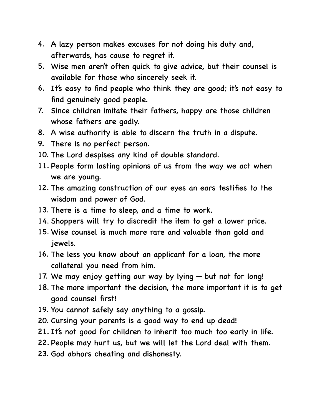- 4. A lazy person makes excuses for not doing his duty and, afterwards, has cause to regret it.
- 5. Wise men aren't often quick to give advice, but their counsel is available for those who sincerely seek it.
- 6. It's easy to find people who think they are good; it's not easy to find genuinely good people.
- 7. Since children imitate their fathers, happy are those children whose fathers are godly.
- 8. A wise authority is able to discern the truth in a dispute.
- 9. There is no perfect person.
- 10. The Lord despises any kind of double standard.
- 11. People form lasting opinions of us from the way we act when we are young.
- 12. The amazing construction of our eyes an ears testifies to the wisdom and power of God.
- 13. There is a time to sleep, and a time to work.
- 14. Shoppers will try to discredit the item to get a lower price.
- 15. Wise counsel is much more rare and valuable than gold and jewels.
- 16. The less you know about an applicant for a loan, the more collateral you need from him.
- 17. We may enjoy getting our way by lying but not for long!
- 18. The more important the decision, the more important it is to get good counsel first!
- 19. You cannot safely say anything to a gossip.
- 20. Cursing your parents is a good way to end up dead!
- 21. It's not good for children to inherit too much too early in life.
- 22. People may hurt us, but we will let the Lord deal with them.
- 23. God abhors cheating and dishonesty.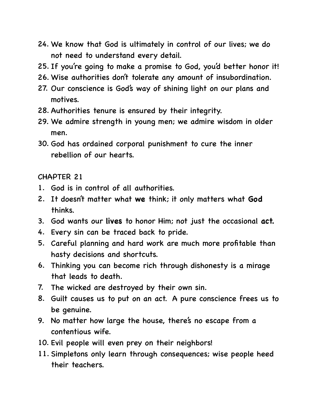- 24. We know that God is ultimately in control of our lives; we do not need to understand every detail.
- 25. If you're going to make a promise to God, you'd better honor it!
- 26. Wise authorities don't tolerate any amount of insubordination.
- 27. Our conscience is God's way of shining light on our plans and motives.
- 28. Authorities tenure is ensured by their integrity.
- 29. We admire strength in young men; we admire wisdom in older men.
- 30. God has ordained corporal punishment to cure the inner rebellion of our hearts.

- 1. God is in control of all authorities.
- 2. It doesn't matter what **we** think; it only matters what **God**  thinks.
- 3. God wants our **lives** to honor Him; not just the occasional **act.**
- 4. Every sin can be traced back to pride.
- 5. Careful planning and hard work are much more profitable than hasty decisions and shortcuts.
- 6. Thinking you can become rich through dishonesty is a mirage that leads to death.
- 7. The wicked are destroyed by their own sin.
- 8. Guilt causes us to put on an act. A pure conscience frees us to be genuine.
- 9. No matter how large the house, there's no escape from a contentious wife.
- 10. Evil people will even prey on their neighbors!
- 11. Simpletons only learn through consequences; wise people heed their teachers.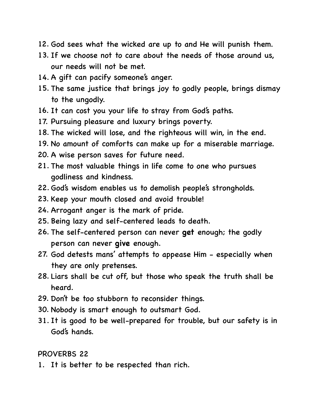- 12. God sees what the wicked are up to and He will punish them.
- 13. If we choose not to care about the needs of those around us, our needs will not be met.
- 14. A gift can pacify someone's anger.
- 15. The same justice that brings joy to godly people, brings dismay to the ungodly.
- 16. It can cost you your life to stray from God's paths.
- 17. Pursuing pleasure and luxury brings poverty.
- 18. The wicked will lose, and the righteous will win, in the end.
- 19. No amount of comforts can make up for a miserable marriage.
- 20. A wise person saves for future need.
- 21. The most valuable things in life come to one who pursues godliness and kindness.
- 22. God's wisdom enables us to demolish people's strongholds.
- 23. Keep your mouth closed and avoid trouble!
- 24. Arrogant anger is the mark of pride.
- 25. Being lazy and self-centered leads to death.
- 26. The self-centered person can never **get** enough; the godly person can never **give** enough.
- 27. God detests mans' attempts to appease Him especially when they are only pretenses.
- 28. Liars shall be cut off, but those who speak the truth shall be heard.
- 29. Don't be too stubborn to reconsider things.
- 30. Nobody is smart enough to outsmart God.
- 31. It is good to be well-prepared for trouble, but our safety is in God's hands.

#### PROVERBS 22

1. It is better to be respected than rich.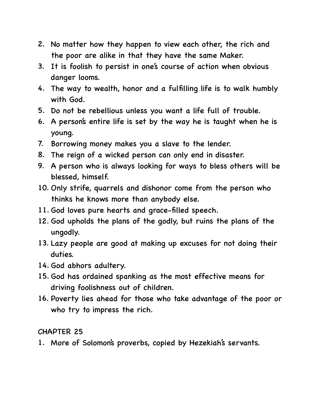- 2. No matter how they happen to view each other, the rich and the poor are alike in that they have the same Maker.
- 3. It is foolish to persist in one's course of action when obvious danger looms.
- 4. The way to wealth, honor and a fulfilling life is to walk humbly with God.
- 5. Do not be rebellious unless you want a life full of trouble.
- 6. A person's entire life is set by the way he is taught when he is young.
- 7. Borrowing money makes you a slave to the lender.
- 8. The reign of a wicked person can only end in disaster.
- 9. A person who is always looking for ways to bless others will be blessed, himself.
- 10. Only strife, quarrels and dishonor come from the person who thinks he knows more than anybody else.
- 11. God loves pure hearts and grace-filled speech.
- 12. God upholds the plans of the godly, but ruins the plans of the ungodly.
- 13. Lazy people are good at making up excuses for not doing their duties.
- 14. God abhors adultery.
- 15. God has ordained spanking as the most effective means for driving foolishness out of children.
- 16. Poverty lies ahead for those who take advantage of the poor or who try to impress the rich.

1. More of Solomon's proverbs, copied by Hezekiah's servants.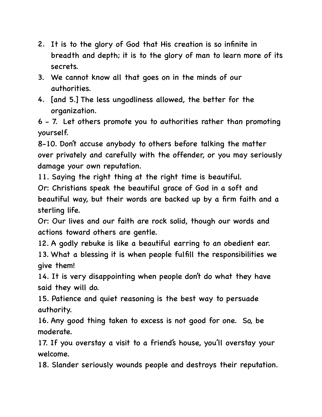- 2. It is to the glory of God that His creation is so infinite in breadth and depth; it is to the glory of man to learn more of its secrets.
- 3. We cannot know all that goes on in the minds of our authorities.
- 4. [and 5.] The less ungodliness allowed, the better for the organization.

6 - 7. Let others promote you to authorities rather than promoting yourself.

8-10. Don't accuse anybody to others before talking the matter over privately and carefully with the offender, or you may seriously damage your own reputation.

11. Saying the right thing at the right time is beautiful.

Or: Christians speak the beautiful grace of God in a soft and beautiful way, but their words are backed up by a firm faith and a sterling life.

Or: Our lives and our faith are rock solid, though our words and actions toward others are gentle.

12. A godly rebuke is like a beautiful earring to an obedient ear. 13. What a blessing it is when people fulfill the responsibilities we

give them!

14. It is very disappointing when people don't do what they have said they will do.

15. Patience and quiet reasoning is the best way to persuade authority.

16. Any good thing taken to excess is not good for one. So, be moderate.

17. If you overstay a visit to a friend's house, you'll overstay your welcome.

18. Slander seriously wounds people and destroys their reputation.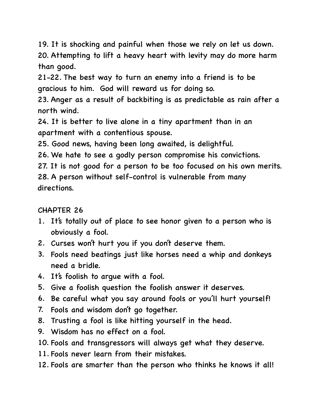19. It is shocking and painful when those we rely on let us down. 20. Attempting to lift a heavy heart with levity may do more harm than good.

21-22. The best way to turn an enemy into a friend is to be gracious to him. God will reward us for doing so.

23. Anger as a result of backbiting is as predictable as rain after a north wind.

24. It is better to live alone in a tiny apartment than in an apartment with a contentious spouse.

25. Good news, having been long awaited, is delightful.

26. We hate to see a godly person compromise his convictions.

27. It is not good for a person to be too focused on his own merits. 28. A person without self-control is vulnerable from many directions.

- 1. It's totally out of place to see honor given to a person who is obviously a fool.
- 2. Curses won't hurt you if you don't deserve them.
- 3. Fools need beatings just like horses need a whip and donkeys need a bridle.
- 4. It's foolish to argue with a fool.
- 5. Give a foolish question the foolish answer it deserves.
- 6. Be careful what you say around fools or you'll hurt yourself!
- 7. Fools and wisdom don't go together.
- 8. Trusting a fool is like hitting yourself in the head.
- 9. Wisdom has no effect on a fool.
- 10. Fools and transgressors will always get what they deserve.
- 11. Fools never learn from their mistakes.
- 12. Fools are smarter than the person who thinks he knows it all!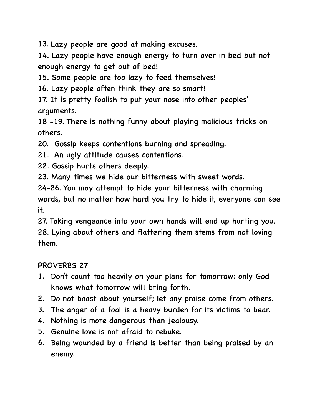13. Lazy people are good at making excuses.

14. Lazy people have enough energy to turn over in bed but not enough energy to get out of bed!

15. Some people are too lazy to feed themselves!

16. Lazy people often think they are so smart!

17. It is pretty foolish to put your nose into other peoples' arguments.

18 -19. There is nothing funny about playing malicious tricks on others.

20. Gossip keeps contentions burning and spreading.

21. An ugly attitude causes contentions.

22. Gossip hurts others deeply.

23. Many times we hide our bitterness with sweet words.

24-26. You may attempt to hide your bitterness with charming words, but no matter how hard you try to hide it, everyone can see it.

27. Taking vengeance into your own hands will end up hurting you. 28. Lying about others and flattering them stems from not loving them.

### PROVERBS 27

- 1. Don't count too heavily on your plans for tomorrow; only God knows what tomorrow will bring forth.
- 2. Do not boast about yourself; let any praise come from others.
- 3. The anger of a fool is a heavy burden for its victims to bear.
- 4. Nothing is more dangerous than jealousy.
- 5. Genuine love is not afraid to rebuke.
- 6. Being wounded by a friend is better than being praised by an enemy.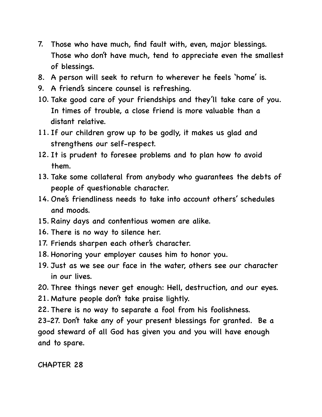- 7. Those who have much, find fault with, even, major blessings. Those who don't have much, tend to appreciate even the smallest of blessings.
- 8. A person will seek to return to wherever he feels 'home' is.
- 9. A friend's sincere counsel is refreshing.
- 10. Take good care of your friendships and they'll take care of you. In times of trouble, a close friend is more valuable than a distant relative.
- 11. If our children grow up to be godly, it makes us glad and strengthens our self-respect.
- 12. It is prudent to foresee problems and to plan how to avoid them.
- 13. Take some collateral from anybody who guarantees the debts of people of questionable character.
- 14. One's friendliness needs to take into account others' schedules and moods.
- 15. Rainy days and contentious women are alike.
- 16. There is no way to silence her.
- 17. Friends sharpen each other's character.
- 18. Honoring your employer causes him to honor you.
- 19. Just as we see our face in the water, others see our character in our lives.
- 20. Three things never get enough: Hell, destruction, and our eyes.
- 21. Mature people don't take praise lightly.
- 22. There is no way to separate a fool from his foolishness.

23-27. Don't take any of your present blessings for granted. Be a good steward of all God has given you and you will have enough and to spare.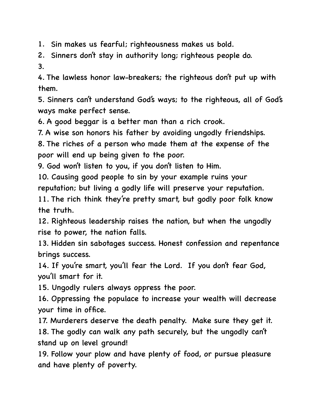1. Sin makes us fearful; righteousness makes us bold.

2. Sinners don't stay in authority long; righteous people do.

3.

4. The lawless honor law-breakers; the righteous don't put up with them.

5. Sinners can't understand God's ways; to the righteous, all of God's ways make perfect sense.

6. A good beggar is a better man than a rich crook.

7. A wise son honors his father by avoiding ungodly friendships.

8. The riches of a person who made them at the expense of the poor will end up being given to the poor.

9. God won't listen to you, if you don't listen to Him.

10. Causing good people to sin by your example ruins your reputation; but living a godly life will preserve your reputation.

11. The rich think they're pretty smart, but godly poor folk know the truth.

12. Righteous leadership raises the nation, but when the ungodly rise to power, the nation falls.

13. Hidden sin sabotages success. Honest confession and repentance brings success.

14. If you're smart, you'll fear the Lord. If you don't fear God, you'll smart for it.

15. Ungodly rulers always oppress the poor.

16. Oppressing the populace to increase your wealth will decrease your time in office.

17. Murderers deserve the death penalty. Make sure they get it. 18. The godly can walk any path securely, but the ungodly can't stand up on level ground!

19. Follow your plow and have plenty of food, or pursue pleasure and have plenty of poverty.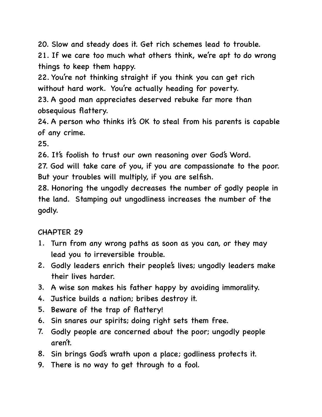20. Slow and steady does it. Get rich schemes lead to trouble.

21. If we care too much what others think, we're apt to do wrong things to keep them happy.

22. You're not thinking straight if you think you can get rich without hard work. You're actually heading for poverty.

23. A good man appreciates deserved rebuke far more than obsequious flattery.

24. A person who thinks it's OK to steal from his parents is capable of any crime.

25.

26. It's foolish to trust our own reasoning over God's Word.

27. God will take care of you, if you are compassionate to the poor. But your troubles will multiply, if you are selfish.

28. Honoring the ungodly decreases the number of godly people in the land. Stamping out ungodliness increases the number of the godly.

- 1. Turn from any wrong paths as soon as you can, or they may lead you to irreversible trouble.
- 2. Godly leaders enrich their people's lives; ungodly leaders make their lives harder.
- 3. A wise son makes his father happy by avoiding immorality.
- 4. Justice builds a nation; bribes destroy it.
- 5. Beware of the trap of flattery!
- 6. Sin snares our spirits; doing right sets them free.
- 7. Godly people are concerned about the poor; ungodly people aren't.
- 8. Sin brings God's wrath upon a place; godliness protects it.
- 9. There is no way to get through to a fool.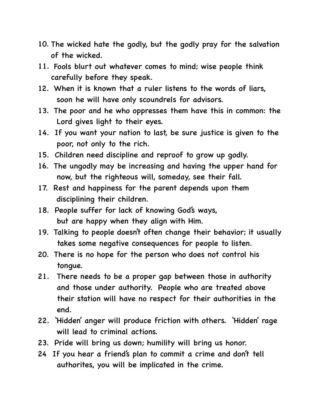- 10. The wicked hate the godly, but the godly pray for the salvation of the wicked.
- 11. Fools blurt out whatever comes to mind; wise people think carefully before they speak.
- 12. When it is known that a ruler listens to the words of liars, soon he will have only scoundrels for advisors.
- 13. The poor and he who oppresses them have this in common: the Lord gives light to their eyes.
- 14. If you want your nation to last, be sure justice is given to the poor, not only to the rich.
- 15. Children need discipline and reproof to grow up godly.
- 16. The ungodly may be increasing and having the upper hand for now, but the righteous will, someday, see their fall.
- 17. Rest and happiness for the parent depends upon them disciplining their children.
- 18. People suffer for lack of knowing God's ways, but are happy when they align with Him.
- 19. Talking to people doesn't often change their behavior; it usually takes some negative consequences for people to listen.
- 20. There is no hope for the person who does not control his tongue.
- 21. There needs to be a proper gap between those in authority and those under authority. People who are treated above their station will have no respect for their authorities in the end.
- 22. 'Hidden' anger will produce friction with others. 'Hidden' rage will lead to criminal actions.
- 23. Pride will bring us down; humility will bring us honor.
- 24 If you hear a friend's plan to commit a crime and don't tell authorites, you will be implicated in the crime.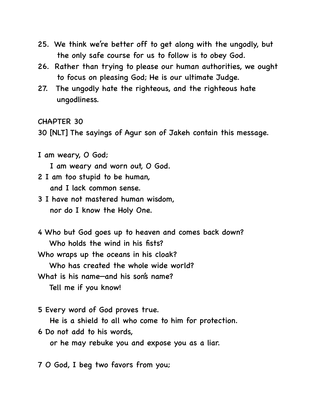- 25. We think we're better off to get along with the ungodly, but the only safe course for us to follow is to obey God.
- 26. Rather than trying to please our human authorities, we ought to focus on pleasing God; He is our ultimate Judge.
- 27. The ungodly hate the righteous, and the righteous hate ungodliness.

30 [NLT] The sayings of Agur son of Jakeh contain this message.

I am weary, O God;

I am weary and worn out, O God.

- 2 I am too stupid to be human, and I lack common sense.
- 3 I have not mastered human wisdom, nor do I know the Holy One.
- 4 Who but God goes up to heaven and comes back down? Who holds the wind in his fists? Who wraps up the oceans in his cloak? Who has created the whole wide world?

What is his name—and his son's name?

Tell me if you know!

5 Every word of God proves true.

He is a shield to all who come to him for protection.

6 Do not add to his words,

or he may rebuke you and expose you as a liar.

7 O God, I beg two favors from you;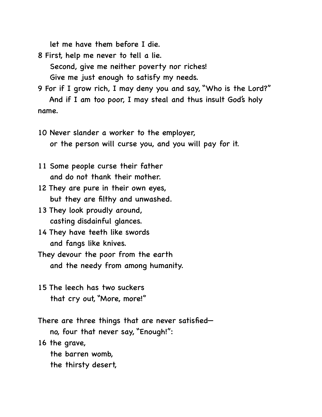let me have them before I die.

8 First, help me never to tell a lie. Second, give me neither poverty nor riches! Give me just enough to satisfy my needs.

9 For if I grow rich, I may deny you and say, "Who is the Lord?" And if I am too poor, I may steal and thus insult God's holy name.

10 Never slander a worker to the employer, or the person will curse you, and you will pay for it.

11 Some people curse their father and do not thank their mother.

12 They are pure in their own eyes, but they are filthy and unwashed.

13 They look proudly around, casting disdainful glances.

14 They have teeth like swords and fangs like knives.

They devour the poor from the earth and the needy from among humanity.

15 The leech has two suckers that cry out, "More, more!"

There are three things that are never satisfied no, four that never say, "Enough!":

16 the grave,

the barren womb,

the thirsty desert,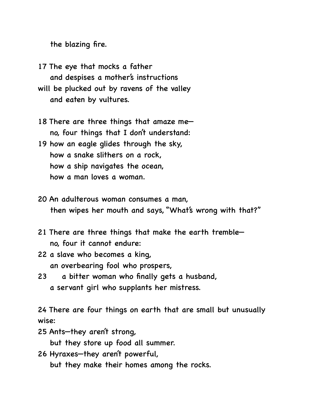the blazing fire.

- 17 The eye that mocks a father and despises a mother's instructions will be plucked out by ravens of the valley and eaten by vultures.
- 18 There are three things that amaze me no, four things that I don't understand:
- 19 how an eagle glides through the sky, how a snake slithers on a rock, how a ship navigates the ocean, how a man loves a woman.
- 20 An adulterous woman consumes a man, then wipes her mouth and says, "What's wrong with that?"
- 21 There are three things that make the earth tremble no, four it cannot endure:
- 22 a slave who becomes a king, an overbearing fool who prospers,
- 23 a bitter woman who finally gets a husband, a servant girl who supplants her mistress.

24 There are four things on earth that are small but unusually wise:

25 Ants—they aren't strong,

but they store up food all summer.

26 Hyraxes—they aren't powerful, but they make their homes among the rocks.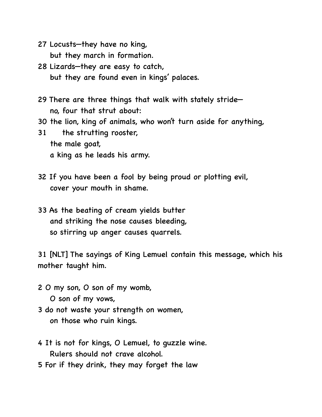- 27 Locusts—they have no king, but they march in formation.
- 28 Lizards—they are easy to catch, but they are found even in kings' palaces.
- 29 There are three things that walk with stately stride no, four that strut about:
- 30 the lion, king of animals, who won't turn aside for anything,
- 31 the strutting rooster, the male goat, a king as he leads his army.
- 32 If you have been a fool by being proud or plotting evil, cover your mouth in shame.
- 33 As the beating of cream yields butter and striking the nose causes bleeding, so stirring up anger causes quarrels.

31 [NLT] The sayings of King Lemuel contain this message, which his mother taught him.

- 2 O my son, O son of my womb,
	- O son of my vows,
- 3 do not waste your strength on women, on those who ruin kings.
- 4 It is not for kings, O Lemuel, to guzzle wine. Rulers should not crave alcohol.
- 5 For if they drink, they may forget the law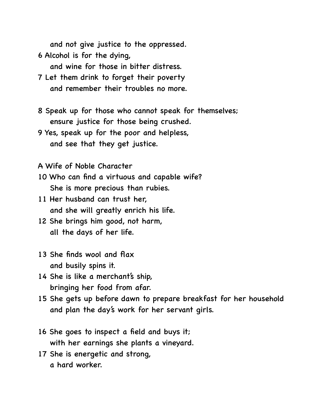and not give justice to the oppressed.

6 Alcohol is for the dying,

and wine for those in bitter distress.

- 7 Let them drink to forget their poverty and remember their troubles no more.
- 8 Speak up for those who cannot speak for themselves; ensure justice for those being crushed.
- 9 Yes, speak up for the poor and helpless, and see that they get justice.

A Wife of Noble Character

- 10 Who can find a virtuous and capable wife? She is more precious than rubies.
- 11 Her husband can trust her, and she will greatly enrich his life.
- 12 She brings him good, not harm, all the days of her life.
- 13 She finds wool and flax and busily spins it.
- 14 She is like a merchant's ship, bringing her food from afar.
- 15 She gets up before dawn to prepare breakfast for her household and plan the day's work for her servant girls.
- 16 She goes to inspect a field and buys it; with her earnings she plants a vineyard.
- 17 She is energetic and strong, a hard worker.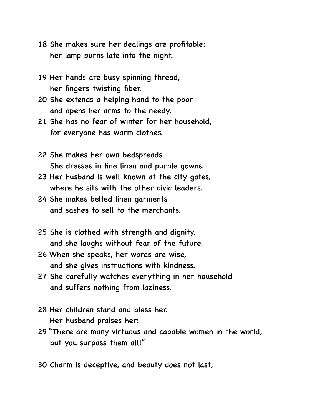- 18 She makes sure her dealings are profitable; her lamp burns late into the night.
- 19 Her hands are busy spinning thread, her fingers twisting fiber.
- 20 She extends a helping hand to the poor and opens her arms to the needy.
- 21 She has no fear of winter for her household, for everyone has warm clothes.
- 22 She makes her own bedspreads. She dresses in fine linen and purple gowns.
- 23 Her husband is well known at the city gates, where he sits with the other civic leaders.
- 24 She makes belted linen garments and sashes to sell to the merchants.
- 25 She is clothed with strength and dignity, and she laughs without fear of the future.
- 26 When she speaks, her words are wise, and she gives instructions with kindness.
- 27 She carefully watches everything in her household and suffers nothing from laziness.
- 28 Her children stand and bless her. Her husband praises her:
- 29 "There are many virtuous and capable women in the world, but you surpass them all!"
- 30 Charm is deceptive, and beauty does not last;